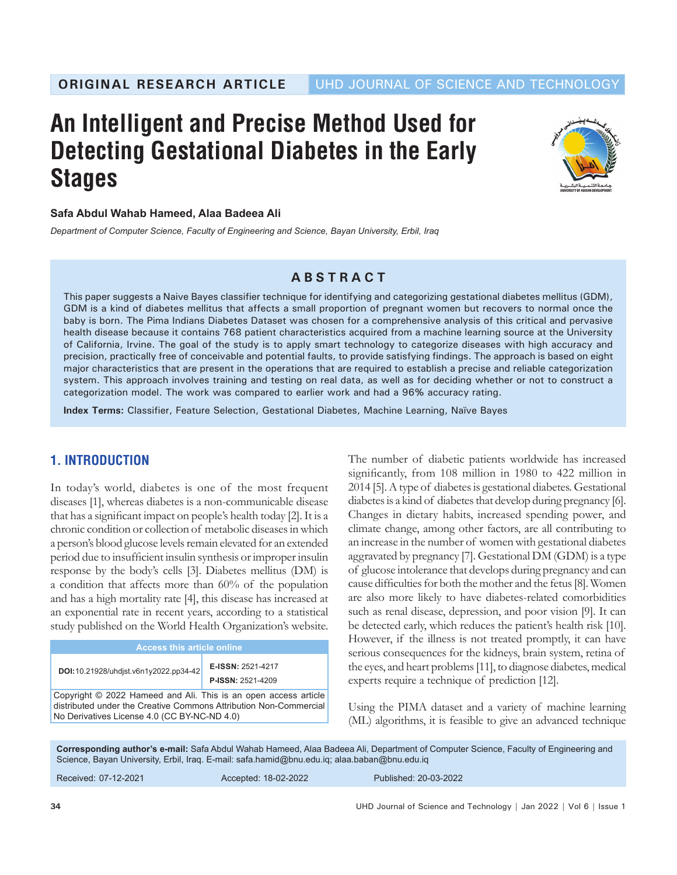# **An Intelligent and Precise Method Used for Detecting Gestational Diabetes in the Early Stages**



#### **Safa Abdul Wahab Hameed, Alaa Badeea Ali**

*Department of Computer Science, Faculty of Engineering and Science, Bayan University, Erbil, Iraq*

# **ABSTRACT**

This paper suggests a Naive Bayes classifier technique for identifying and categorizing gestational diabetes mellitus (GDM), GDM is a kind of diabetes mellitus that affects a small proportion of pregnant women but recovers to normal once the baby is born. The Pima Indians Diabetes Dataset was chosen for a comprehensive analysis of this critical and pervasive health disease because it contains 768 patient characteristics acquired from a machine learning source at the University of California, Irvine. The goal of the study is to apply smart technology to categorize diseases with high accuracy and precision, practically free of conceivable and potential faults, to provide satisfying findings. The approach is based on eight major characteristics that are present in the operations that are required to establish a precise and reliable categorization system. This approach involves training and testing on real data, as well as for deciding whether or not to construct a categorization model. The work was compared to earlier work and had a 96**%** accuracy rating.

**Index Terms:** Classifier, Feature Selection, Gestational Diabetes, Machine Learning, Naïve Bayes

# **1. INTRODUCTION**

In today's world, diabetes is one of the most frequent diseases [1], whereas diabetes is a non-communicable disease that has a significant impact on people's health today [2]. It is a chronic condition or collection of metabolic diseases in which a person's blood glucose levels remain elevated for an extended period due to insufficient insulin synthesis or improper insulin response by the body's cells [3]. Diabetes mellitus (DM) is a condition that affects more than 60% of the population and has a high mortality rate [4], this disease has increased at an exponential rate in recent years, according to a statistical study published on the World Health Organization's website.

| <b>Access this article online</b>                                                                                                                                                    |                                               |  |  |  |
|--------------------------------------------------------------------------------------------------------------------------------------------------------------------------------------|-----------------------------------------------|--|--|--|
| DOI:10.21928/uhdist.v6n1y2022.pp34-42                                                                                                                                                | E-ISSN: 2521-4217<br><b>P-ISSN: 2521-4209</b> |  |  |  |
| Copyright © 2022 Hameed and Ali. This is an open access article<br>distributed under the Creative Commons Attribution Non-Commercial<br>No Derivatives License 4.0 (CC BY-NC-ND 4.0) |                                               |  |  |  |

The number of diabetic patients worldwide has increased significantly, from 108 million in 1980 to 422 million in 2014 [5]. Atype of diabetes is gestational diabetes. Gestational diabetes is a kind of diabetes that develop during pregnancy [6]. Changes in dietary habits, increased spending power, and climate change, among other factors, are all contributing to an increase in the number of women with gestational diabetes aggravated by pregnancy [7]. Gestational DM (GDM) is a type of glucose intolerance that develops during pregnancy and can cause difficulties for both the mother and the fetus [8]. Women are also more likely to have diabetes-related comorbidities such as renal disease, depression, and poor vision [9]. It can be detected early, which reduces the patient's health risk [10]. However, if the illness is not treated promptly, it can have serious consequences for the kidneys, brain system, retina of the eyes, and heart problems [11], to diagnose diabetes, medical experts require a technique of prediction [12].

Using the PIMA dataset and a variety of machine learning (ML) algorithms, it is feasible to give an advanced technique

**Corresponding author's e-mail:** Safa Abdul Wahab Hameed, Alaa Badeea Ali, Department of Computer Science, Faculty of Engineering and Science, Bayan University, Erbil, Iraq. E-mail: safa.hamid@bnu.edu.iq; alaa.baban@bnu.edu.iq

Received:  07-12-2021 Accepted: 18-02-2022 Published: 20-03-2022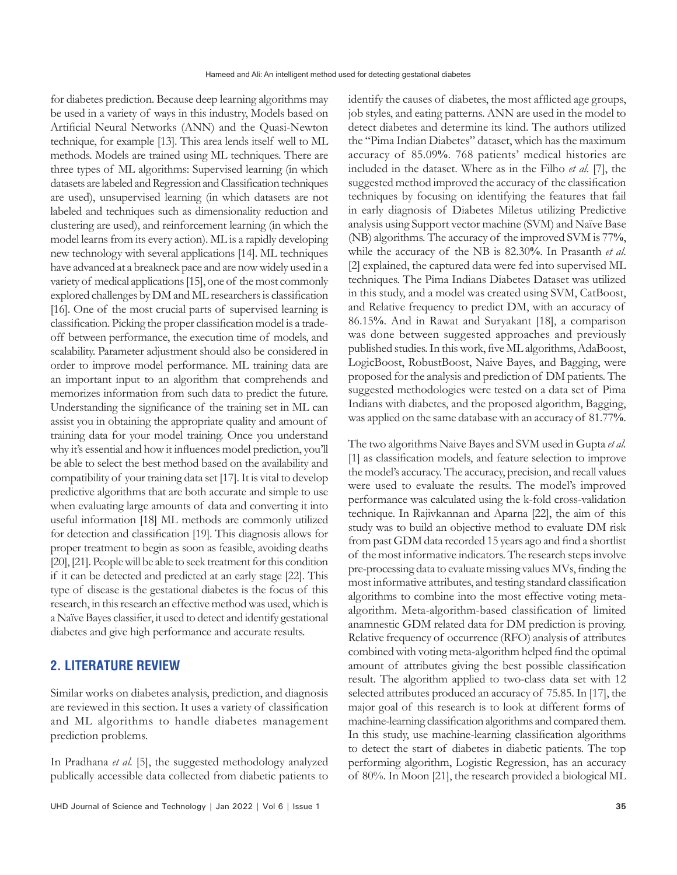for diabetes prediction. Because deep learning algorithms may be used in a variety of ways in this industry, Models based on Artificial Neural Networks (ANN) and the Quasi-Newton technique, for example [13]. This area lends itself well to ML methods. Models are trained using ML techniques. There are three types of ML algorithms: Supervised learning (in which datasets are labeled and Regression and Classification techniques are used), unsupervised learning (in which datasets are not labeled and techniques such as dimensionality reduction and clustering are used), and reinforcement learning (in which the model learns from its every action). ML is a rapidly developing new technology with several applications [14]. ML techniques have advanced at a breakneck pace and are now widely used in a variety of medical applications [15], one of the most commonly explored challenges by DM and ML researchers is classification [16]. One of the most crucial parts of supervised learning is classification. Picking the proper classification model is a tradeoff between performance, the execution time of models, and scalability. Parameter adjustment should also be considered in order to improve model performance. ML training data are an important input to an algorithm that comprehends and memorizes information from such data to predict the future. Understanding the significance of the training set in ML can assist you in obtaining the appropriate quality and amount of training data for your model training. Once you understand why it's essential and how it influences model prediction, you'll be able to select the best method based on the availability and compatibility of your training data set [17]. It is vital to develop predictive algorithms that are both accurate and simple to use when evaluating large amounts of data and converting it into useful information [18] ML methods are commonly utilized for detection and classification [19]. This diagnosis allows for proper treatment to begin as soon as feasible, avoiding deaths [20], [21]. People will be able to seek treatment for this condition if it can be detected and predicted at an early stage [22]. This type of disease is the gestational diabetes is the focus of this research, in this research an effective method was used, which is a Naïve Bayes classifier, it used to detect and identify gestational diabetes and give high performance and accurate results.

# **2. LITERATURE REVIEW**

Similar works on diabetes analysis, prediction, and diagnosis are reviewed in this section. It uses a variety of classification and ML algorithms to handle diabetes management prediction problems.

In Pradhana *et al.* [5], the suggested methodology analyzed publically accessible data collected from diabetic patients to identify the causes of diabetes, the most afflicted age groups, job styles, and eating patterns. ANN are used in the model to detect diabetes and determine its kind. The authors utilized the "Pima Indian Diabetes" dataset, which has the maximum accuracy of 85.09**%**. 768 patients' medical histories are included in the dataset. Where as in the Filho *et al*. [7], the suggested method improved the accuracy of the classification techniques by focusing on identifying the features that fail in early diagnosis of Diabetes Miletus utilizing Predictive analysis using Support vector machine (SVM) and Naïve Base (NB) algorithms. The accuracy of the improved SVM is 77**%**, while the accuracy of the NB is 82.30**%**. In Prasanth *et al*. [2] explained, the captured data were fed into supervised ML techniques. The Pima Indians Diabetes Dataset was utilized in this study, and a model was created using SVM, CatBoost, and Relative frequency to predict DM, with an accuracy of 86.15**%**. And in Rawat and Suryakant [18], a comparison was done between suggested approaches and previously published studies. In this work, five ML algorithms, AdaBoost, LogicBoost, RobustBoost, Naive Bayes, and Bagging, were proposed for the analysis and prediction of DM patients. The suggested methodologies were tested on a data set of Pima Indians with diabetes, and the proposed algorithm, Bagging, was applied on the same database with an accuracy of 81.77**%**.

The two algorithms Naive Bayes and SVM used in Gupta *et al.* [1] as classification models, and feature selection to improve the model's accuracy. The accuracy, precision, and recall values were used to evaluate the results. The model's improved performance was calculated using the k-fold cross-validation technique. In Rajivkannan and Aparna [22], the aim of this study was to build an objective method to evaluate DM risk from past GDM data recorded 15 years ago and find a shortlist of the most informative indicators. The research steps involve pre-processing data to evaluate missing values MVs, finding the most informative attributes, and testing standard classification algorithms to combine into the most effective voting metaalgorithm. Meta-algorithm-based classification of limited anamnestic GDM related data for DM prediction is proving. Relative frequency of occurrence (RFO) analysis of attributes combined with voting meta-algorithm helped find the optimal amount of attributes giving the best possible classification result. The algorithm applied to two-class data set with 12 selected attributes produced an accuracy of 75.85. In [17], the major goal of this research is to look at different forms of machine-learning classification algorithms and compared them. In this study, use machine-learning classification algorithms to detect the start of diabetes in diabetic patients. The top performing algorithm, Logistic Regression, has an accuracy of 80%. In Moon [21], the research provided a biological ML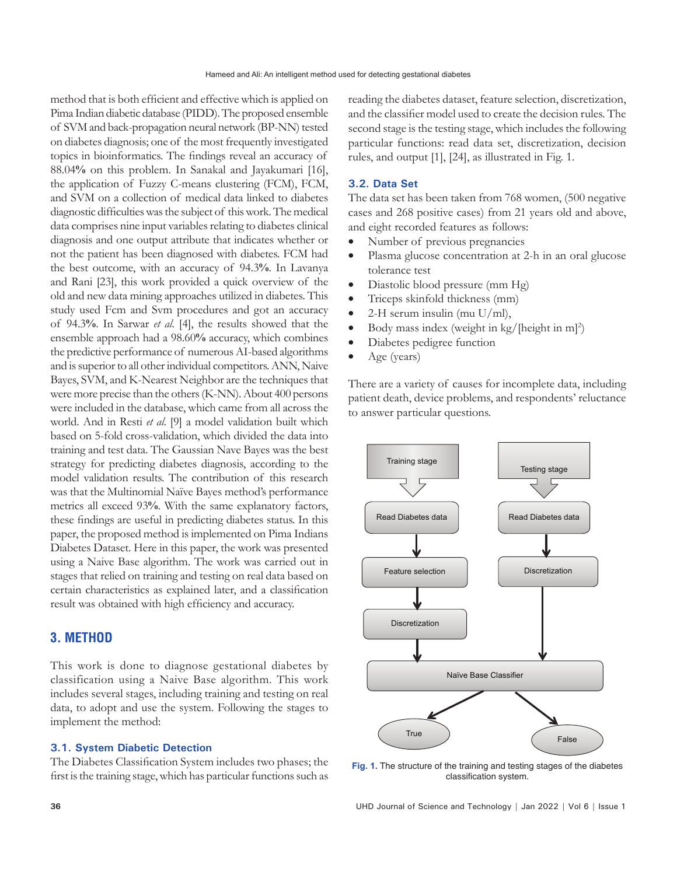method that is both efficient and effective which is applied on Pima Indian diabetic database (PIDD). The proposed ensemble of SVM and back-propagation neural network (BP-NN) tested on diabetes diagnosis; one of the most frequently investigated topics in bioinformatics. The findings reveal an accuracy of 88.04**%** on this problem. In Sanakal and Jayakumari [16], the application of Fuzzy C-means clustering (FCM), FCM, and SVM on a collection of medical data linked to diabetes diagnostic difficulties was the subject of this work. The medical data comprises nine input variables relating to diabetes clinical diagnosis and one output attribute that indicates whether or not the patient has been diagnosed with diabetes. FCM had the best outcome, with an accuracy of 94.3**%**. In Lavanya and Rani [23], this work provided a quick overview of the old and new data mining approaches utilized in diabetes. This study used Fcm and Svm procedures and got an accuracy of 94.3**%**. In Sarwar *et al*. [4], the results showed that the ensemble approach had a 98.60**%** accuracy, which combines the predictive performance of numerous AI-based algorithms and is superior to all other individual competitors. ANN, Naive Bayes, SVM, and K-Nearest Neighbor are the techniques that were more precise than the others (K-NN). About 400 persons were included in the database, which came from all across the world. And in Resti *et al*. [9] a model validation built which based on 5-fold cross-validation, which divided the data into training and test data. The Gaussian Nave Bayes was the best strategy for predicting diabetes diagnosis, according to the model validation results. The contribution of this research was that the Multinomial Naïve Bayes method's performance metrics all exceed 93**%**. With the same explanatory factors, these findings are useful in predicting diabetes status. In this paper, the proposed method is implemented on Pima Indians Diabetes Dataset. Here in this paper, the work was presented using a Naive Base algorithm. The work was carried out in stages that relied on training and testing on real data based on certain characteristics as explained later, and a classification result was obtained with high efficiency and accuracy.

# **3. METHOD**

This work is done to diagnose gestational diabetes by classification using a Naive Base algorithm. This work includes several stages, including training and testing on real data, to adopt and use the system. Following the stages to implement the method:

#### **3.1. System Diabetic Detection**

The Diabetes Classification System includes two phases; the first is the training stage, which has particular functions such as reading the diabetes dataset, feature selection, discretization, and the classifier model used to create the decision rules. The second stage is the testing stage, which includes the following particular functions: read data set, discretization, decision rules, and output [1], [24], as illustrated in Fig. 1.

#### **3.2. Data Set**

The data set has been taken from 768 women, (500 negative cases and 268 positive cases) from 21 years old and above, and eight recorded features as follows:

- Number of previous pregnancies
- Plasma glucose concentration at 2-h in an oral glucose tolerance test
- Diastolic blood pressure (mm Hg)
- Triceps skinfold thickness (mm)
- 2-H serum insulin (mu  $U/ml$ ),
- Body mass index (weight in  $\text{kg}/\text{[height in m]}^2$ )
- Diabetes pedigree function
- Age (years)

There are a variety of causes for incomplete data, including patient death, device problems, and respondents' reluctance to answer particular questions.



**Fig. 1.** The structure of the training and testing stages of the diabetes classification system.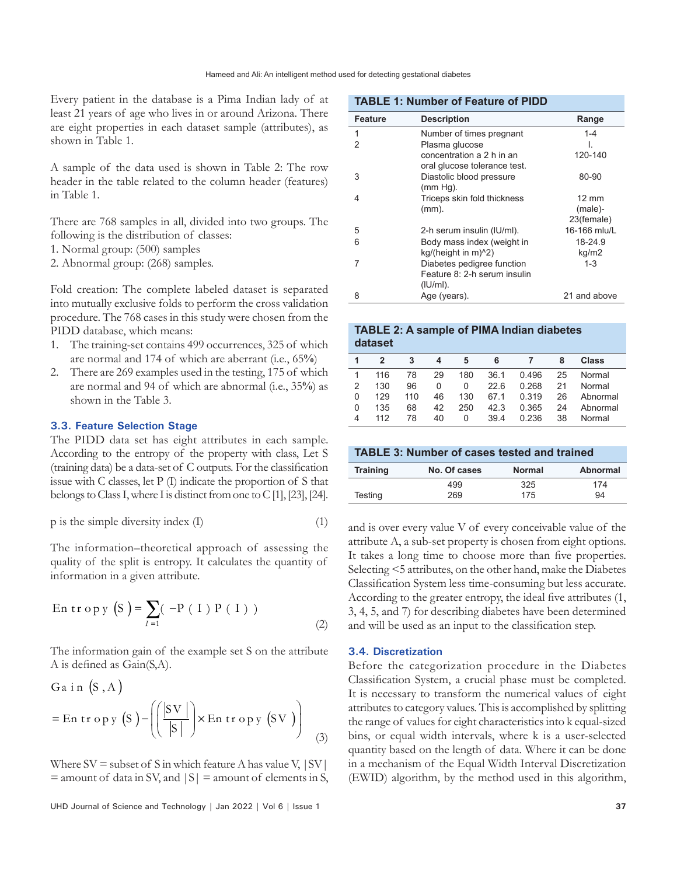Every patient in the database is a Pima Indian lady of at least 21 years of age who lives in or around Arizona. There are eight properties in each dataset sample (attributes), as shown in Table 1.

A sample of the data used is shown in Table 2: The row header in the table related to the column header (features) in Table 1.

There are 768 samples in all, divided into two groups. The following is the distribution of classes:

- 1. Normal group: (500) samples
- 2. Abnormal group: (268) samples.

Fold creation: The complete labeled dataset is separated into mutually exclusive folds to perform the cross validation procedure. The 768 cases in this study were chosen from the PIDD database, which means:

- 1. The training-set contains 499 occurrences, 325 of which are normal and 174 of which are aberrant (i.e., 65**%**)
- 2. There are 269 examples used in the testing, 175 of which are normal and 94 of which are abnormal (i.e., 35**%**) as shown in the Table 3.

#### **3.3. Feature Selection Stage**

The PIDD data set has eight attributes in each sample. According to the entropy of the property with class, Let S (training data) be a data-set of C outputs. For the classification issue with C classes, let P (I) indicate the proportion of S that belongs to Class I, where I is distinct from one to C [1], [23], [24].

$$
p \text{ is the simple diversity index (I)} \tag{1}
$$

The information–theoretical approach of assessing the quality of the split is entropy. It calculates the quantity of information in a given attribute.

En tr op y (S) = 
$$
\sum_{I=1}
$$
 (-P (I) P (I)) (2)

The information gain of the example set S on the attribute A is defined as Gain(S,A).

$$
Ga in (S, A)
$$
  
= En tropy (S) -  $\left( \left( \frac{|SV|}{|S|} \right) \times En tropy (SV) \right)$  (3)

Where  $SV =$  subset of S in which feature A has value V,  $|SV|$  $=$  amount of data in SV, and  $|S|$  = amount of elements in S,

UHD Journal of Science and Technology | Jan 2022 | Vol 6 | Issue 1 **37**

|                | <b>TABLE 1: Number of Feature of PIDD</b>                 |                       |  |  |  |  |
|----------------|-----------------------------------------------------------|-----------------------|--|--|--|--|
| Feature        | <b>Description</b>                                        | Range                 |  |  |  |  |
| 1              | Number of times pregnant                                  | $1 - 4$               |  |  |  |  |
| $\mathfrak{p}$ | Plasma glucose                                            |                       |  |  |  |  |
|                | concentration a 2 h in an<br>oral glucose tolerance test. | 120-140               |  |  |  |  |
| 3              | Diastolic blood pressure<br>$(mm Hg)$ .                   | 80-90                 |  |  |  |  |
| 4              | Triceps skin fold thickness                               | $12 \text{ mm}$       |  |  |  |  |
|                | $(mm)$ .                                                  | (male)-<br>23(female) |  |  |  |  |
| 5              | 2-h serum insulin (IU/ml).                                | 16-166 mlu/L          |  |  |  |  |
|                |                                                           |                       |  |  |  |  |
| 6              | Body mass index (weight in                                | 18-24.9               |  |  |  |  |
|                | $kg/(height in m)^2)$                                     | kg/m2                 |  |  |  |  |
| 7              | Diabetes pedigree function                                | $1 - 3$               |  |  |  |  |
|                | Feature 8: 2-h serum insulin                              |                       |  |  |  |  |
|                | $(IU/ml)$ .                                               |                       |  |  |  |  |
| 8              | Age (years).                                              | 21 and above          |  |  |  |  |

#### **TABLE 2: A sample of PIMA Indian diabetes dataset**

|                | $\mathfrak{p}$ | 3   | 4  | 5        | 6    |       | 8  | <b>Class</b> |
|----------------|----------------|-----|----|----------|------|-------|----|--------------|
|                | 116            | 78  | 29 | 180      | 36.1 | 0.496 | 25 | Normal       |
| $\mathfrak{D}$ | 130            | 96  | 0  | $\Omega$ | 226  | 0.268 | 21 | Normal       |
| 0              | 129            | 110 | 46 | 130      | 67.1 | 0.319 | 26 | Abnormal     |
| 0              | 135            | 68  | 42 | 250      | 42.3 | 0.365 | 24 | Abnormal     |
| 4              | 112            | 78  | 40 | 0        | 39.4 | 0.236 | 38 | Normal       |

| <b>TABLE 3: Number of cases tested and trained</b> |              |               |                 |  |  |
|----------------------------------------------------|--------------|---------------|-----------------|--|--|
| <b>Training</b>                                    | No. Of cases | <b>Normal</b> | <b>Abnormal</b> |  |  |
|                                                    | 499          | 325           | 174             |  |  |
| Testing                                            | 269          | 175           | 94              |  |  |

and is over every value V of every conceivable value of the attribute A, a sub-set property is chosen from eight options. It takes a long time to choose more than five properties. Selecting <5 attributes, on the other hand, make the Diabetes Classification System less time-consuming but less accurate. According to the greater entropy, the ideal five attributes (1, 3, 4, 5, and 7) for describing diabetes have been determined and will be used as an input to the classification step.

#### **3.4. Discretization**

Before the categorization procedure in the Diabetes Classification System, a crucial phase must be completed. It is necessary to transform the numerical values of eight attributes to category values. This is accomplished by splitting the range of values for eight characteristics into k equal-sized bins, or equal width intervals, where k is a user-selected quantity based on the length of data. Where it can be done in a mechanism of the Equal Width Interval Discretization (EWID) algorithm, by the method used in this algorithm,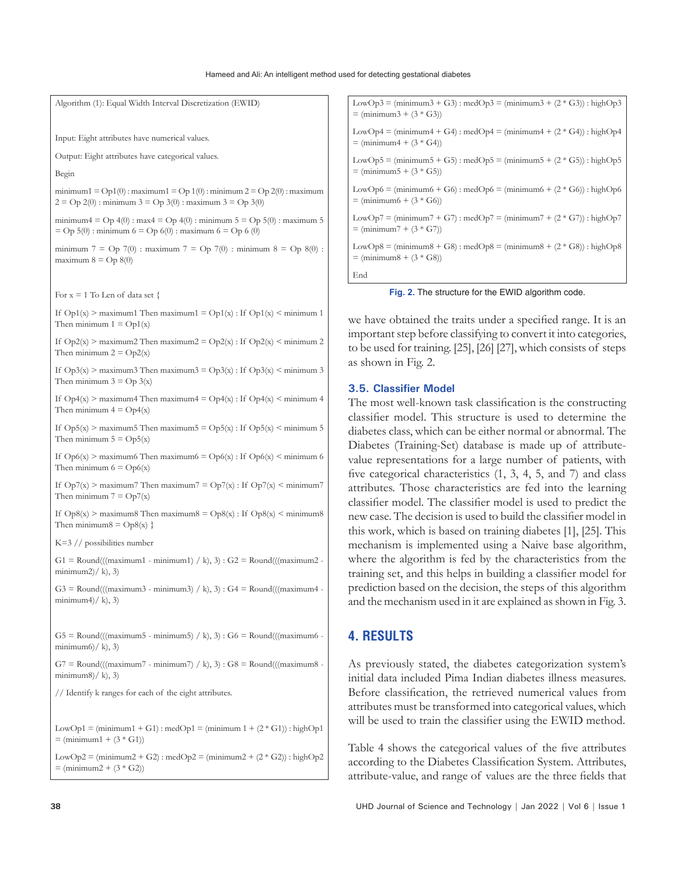| Algorithm (1): Equal Width Interval Discretization (EWID)                                                                                         | LowOp3 = $(\text{minimum}3 + G3)$ : medOp3 = $(\text{minimum}3 + (2 * G3))$ : highOp3<br>$=$ (minimum3 + (3 $*$ G3))        |
|---------------------------------------------------------------------------------------------------------------------------------------------------|-----------------------------------------------------------------------------------------------------------------------------|
| Input: Eight attributes have numerical values.                                                                                                    | LowOp4 = (minimum4 + G4) : medOp4 = (minimum4 + $(2 * G4)$ ) : highOp4<br>$=$ (minimum4 + $(3 * G4)$ )                      |
| Output: Eight attributes have categorical values.                                                                                                 | LowOp5 = $(\text{minimum}5 + \text{G5})$ : medOp5 = $(\text{minimum}5 + (2 \times \text{G5}))$ : highOp5                    |
| Begin                                                                                                                                             | $=$ (minimum5 + $(3 * G5)$ )                                                                                                |
| minimum1 = $Op1(0)$ : maximum1 = $Op1(0)$ : minimum 2 = $Op2(0)$ : maximum                                                                        | LowOp6 = $(\text{minimum}6 + \text{G6})$ : medOp6 = $(\text{minimum}6 + (2 \cdot \text{G6}))$ : highOp6                     |
| $2 =$ Op 2(0): minimum $3 =$ Op 3(0): maximum $3 =$ Op 3(0)                                                                                       | $=$ (minimum6 + $(3 * G6)$ )                                                                                                |
| minimum $4 =$ Op $4(0)$ : max $4 =$ Op $4(0)$ : minimum $5 =$ Op $5(0)$ : maximum 5                                                               | LowOp7 = (minimum7 + G7) : medOp7 = (minimum7 + $(2 * G7)$ ) : highOp7                                                      |
| $=$ Op 5(0): minimum 6 = Op 6(0): maximum 6 = Op 6 (0)                                                                                            | $=$ (minimum 7 + (3 $*$ G7))                                                                                                |
| minimum 7 = Op 7(0) : maximum 7 = Op 7(0) : minimum 8 = Op 8(0) :                                                                                 | LowOp8 = $(\text{minimum}8 + \text{G8})$ : medOp8 = $(\text{minimum}8 + (2 \cdot \text{G8}))$ : highOp8                     |
| maximum $8 =$ Op $8(0)$                                                                                                                           | $=$ (minimum8 + $(3 * G8)$ )                                                                                                |
|                                                                                                                                                   | End                                                                                                                         |
| For $x = 1$ To Len of data set {                                                                                                                  | Fig. 2. The structure for the EWID algorithm code.                                                                          |
| If $Op1(x)$ > maximum1 Then maximum1 = $Op1(x)$ : If $Op1(x)$ < minimum 1<br>Then minimum $1 = \text{Op1}(x)$                                     | we have obtained the traits under a specified range. It is an                                                               |
| If $Op2(x)$ > maximum2 Then maximum2 = $Op2(x)$ : If $Op2(x)$ < minimum 2                                                                         | important step before classifying to convert it into categories,                                                            |
| Then minimum $2 = \text{Op2}(x)$                                                                                                                  | to be used for training. [25], [26] [27], which consists of steps                                                           |
| If $Op3(x) >$ maximum3 Then maximum3 = $Op3(x)$ : If $Op3(x) <$ minimum 3                                                                         | as shown in Fig. 2.                                                                                                         |
| Then minimum $3 =$ Op $3(x)$                                                                                                                      | 3.5. Classifier Model                                                                                                       |
| If $Op4(x)$ > maximum4 Then maximum4 = $Op4(x)$ : If $Op4(x)$ < minimum 4                                                                         | The most well-known task classification is the constructing                                                                 |
| Then minimum $4 = \text{Op4}(x)$                                                                                                                  | classifier model. This structure is used to determine the                                                                   |
| If $Op5(x) >$ maximum5 Then maximum5 = $Op5(x)$ : If $Op5(x) <$ minimum 5                                                                         | diabetes class, which can be either normal or abnormal. The                                                                 |
| Then minimum $5 = Op5(x)$                                                                                                                         | Diabetes (Training-Set) database is made up of attribute-                                                                   |
| If $Op6(x) >$ maximum6 Then maximum6 = $Op6(x)$ : If $Op6(x) <$ minimum 6                                                                         | value representations for a large number of patients, with                                                                  |
| Then minimum $6 = Op6(x)$                                                                                                                         | five categorical characteristics (1, 3, 4, 5, and 7) and class                                                              |
| If $Op7(x) >$ maximum7 Then maximum7 = $Op7(x)$ : If $Op7(x) <$ minimum7                                                                          | attributes. Those characteristics are fed into the learning                                                                 |
| Then minimum $7 = Op7(x)$                                                                                                                         | classifier model. The classifier model is used to predict the                                                               |
| If $Op8(x) >$ maximum8 Then maximum8 = $Op8(x)$ : If $Op8(x) <$ minimum8                                                                          | new case. The decision is used to build the classifier model in                                                             |
| Then minimum $8 = \text{Op}8(x)$ }                                                                                                                | this work, which is based on training diabetes [1], [25]. This                                                              |
| $K=3$ // possibilities number                                                                                                                     | mechanism is implemented using a Naive base algorithm,                                                                      |
| $G1 = \text{Round}((\text{maximum1 - minimum1}) / k), 3) : G2 = \text{Round}((\text{maximum2 - maximum2})$                                        | where the algorithm is fed by the characteristics from the                                                                  |
| minimum2)/k, 3)                                                                                                                                   | training set, and this helps in building a classifier model for                                                             |
| $G3 = \text{Round}((\text{maximum}3 - \text{minimum}3) / k), 3): G4 = \text{Round}((\text{maximum}4 - \text{constant}3) - \text{minimum}3)$       | prediction based on the decision, the steps of this algorithm                                                               |
| minimum4)/k, 3)                                                                                                                                   | and the mechanism used in it are explained as shown in Fig. 3.                                                              |
| $G5 = \text{Round}((\text{maximum}5 - \text{minimum}5) / k), 3) : G6 = \text{Round}((\text{maximum}6 - \text{maximum}5) / k)$<br>minimum6)/ k, 3) | <b>4. RESULTS</b>                                                                                                           |
| $G7 = \text{Round}((\text{maximum}7 - \text{minimum}7) / k), 3) : G8 = \text{Round}((\text{maximum}8 - \text{maximum}7) / k)$                     | As previously stated, the diabetes categorization system's                                                                  |
| minimum8)/k, 3)                                                                                                                                   | initial data included Pima Indian diabetes illness measures.                                                                |
| // Identify k ranges for each of the eight attributes.                                                                                            | Before classification, the retrieved numerical values from<br>attributes must be transformed into categorical values, which |
| LowOp1 = $(\text{minimum}1 + G1)$ : medOp1 = $(\text{minimum}1 + (2 * G1))$ : highOp1                                                             | will be used to train the classifier using the EWID method.                                                                 |
| $=$ (minimum1 + $(3 * G1)$ )                                                                                                                      | Table 4 shows the categorical values of the five attributes                                                                 |

LowOp2 = (minimum2 + G2) : medOp2 = (minimum2 +  $(2 * G2)$ ) : highOp2  $=$  (minimum2 + (3  $*$  G2))

according to the Diabetes Classification System. Attributes, attribute-value, and range of values are the three fields that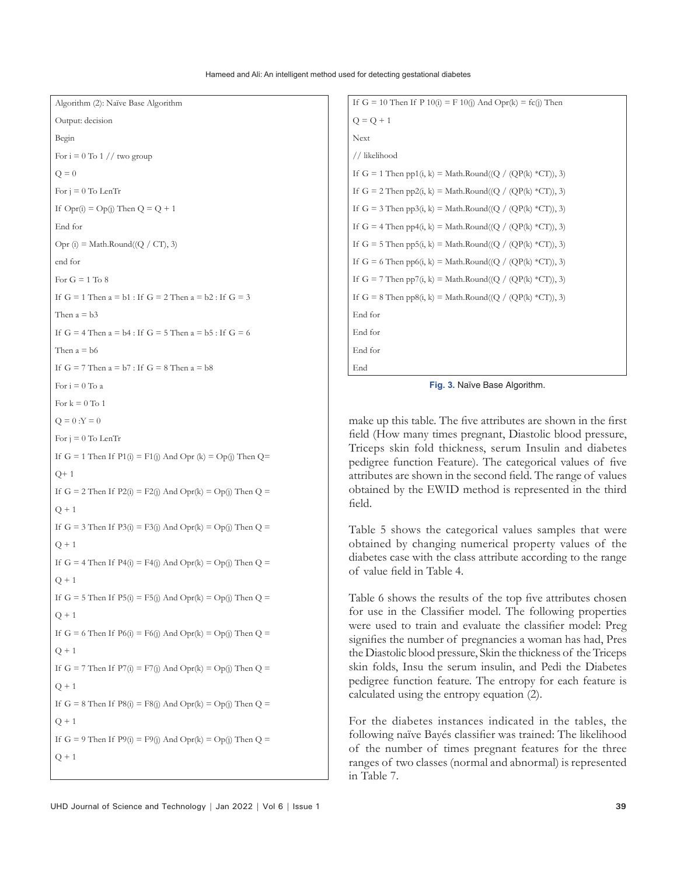Algorithm (2): Naïve Base Algorithm

```
Output: decision
Begin
For i = 0 To 1 // two group
Q = 0For i = 0 To LenTr
If Opt(i) = Op(j) Then Q = Q + 1End for
Opr (i) = Math.Round((Q / CT), 3)
end for
For G = 1 To 8
If G = 1 Then a = b1: If G = 2 Then a = b2: If G = 3Then a = b3If G = 4 Then a = b4: If G = 5 Then a = b5: If G = 6Then a = b6If G = 7 Then a = b7: If G = 8 Then a = b8For i = 0 To a
For k = 0 To 1
Q = 0:Y = 0For j = 0 To LenTr
If G = 1 Then If P1(i) = F1(j) And Opr (k) = Op(j) Then Q=
Q+1If G = 2 Then If P2(i) = F2(j) And Opr(k) = Op(j) Then Q =
Q + 1If G = 3 Then If P3(i) = F3(j) And Opr(k) = Op(j) Then Q =
Q + 1If G = 4 Then If P4(i) = F4(j) And Opr(k) = Op(j) Then Q =
Q + 1If G = 5 Then If P5(i) = F5(j) And Opr(k) = Op(i) Then Q =
Q + 1If G = 6 Then If P6(i) = F6(j) And Opr(k) = Op(j) Then Q =
Q + 1If G = 7 Then If P7(i) = F7(j) And Opr(k) = Op(j) Then Q =
Q + 1If G = 8 Then If P8(i) = F8(j) And Opr(k) = Op(j) Then Q =
O + 1If G = 9 Then If P9(i) = F9(j) And Opr(k) = Op(j) Then Q =
Q + 1
```

```
If G = 10 Then If P 10(i) = F 10(j) And Opr(k) = fc(j) Then
Q = Q + 1Next
// likelihood 
If G = 1 Then pp1(i, k) = Math.Round((Q / (QP(k) *CT)), 3)
If G = 2 Then pp2(i, k) = Math.Round((Q / (QP(k) * CT)), 3)If G = 3 Then pp3(i, k) = Math.Round((Q / (QP(k) *CT)), 3)
If G = 4 Then pp4(i, k) = Math.Round((Q / (QP(k) *CT)), 3)
If G = 5 Then pp5(i, k) = Math.Round((Q / (QP(k) * CT)), 3)
If G = 6 Then pp6(i, k) = Math.Round((Q / (QP(k) *CT)), 3)
If G = 7 Then pp7(i, k) = Math.Round((Q / (QP(k) *CT)), 3)
If G = 8 Then pp8(i, k) = Math.Round((Q / (QP(k) *CT)), 3)
End for
End for
End for
End
```
**Fig. 3.** Naïve Base Algorithm.

make up this table. The five attributes are shown in the first field (How many times pregnant, Diastolic blood pressure, Triceps skin fold thickness, serum Insulin and diabetes pedigree function Feature). The categorical values of five attributes are shown in the second field. The range of values obtained by the EWID method is represented in the third field.

Table 5 shows the categorical values samples that were obtained by changing numerical property values of the diabetes case with the class attribute according to the range of value field in Table 4.

Table 6 shows the results of the top five attributes chosen for use in the Classifier model. The following properties were used to train and evaluate the classifier model: Preg signifies the number of pregnancies a woman has had, Pres the Diastolic blood pressure, Skin the thickness of the Triceps skin folds, Insu the serum insulin, and Pedi the Diabetes pedigree function feature. The entropy for each feature is calculated using the entropy equation (2).

For the diabetes instances indicated in the tables, the following naïve Bayés classifier was trained: The likelihood of the number of times pregnant features for the three ranges of two classes (normal and abnormal) is represented in Table 7.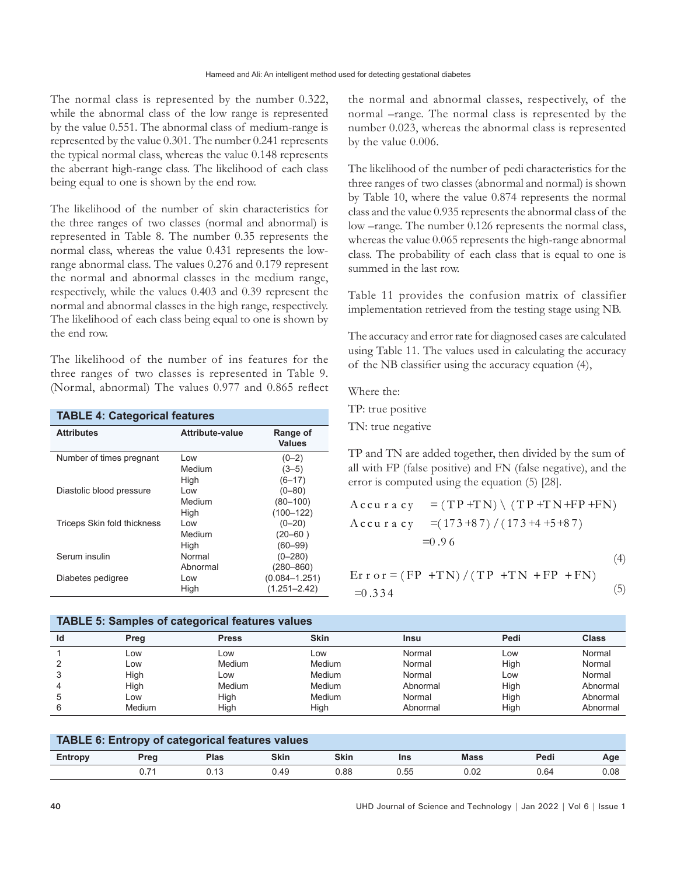The normal class is represented by the number 0.322, while the abnormal class of the low range is represented by the value 0.551. The abnormal class of medium-range is represented by the value 0.301. The number 0.241 represents the typical normal class, whereas the value 0.148 represents the aberrant high-range class. The likelihood of each class being equal to one is shown by the end row.

The likelihood of the number of skin characteristics for the three ranges of two classes (normal and abnormal) is represented in Table 8. The number 0.35 represents the normal class, whereas the value 0.431 represents the lowrange abnormal class. The values 0.276 and 0.179 represent the normal and abnormal classes in the medium range, respectively, while the values 0.403 and 0.39 represent the normal and abnormal classes in the high range, respectively. The likelihood of each class being equal to one is shown by the end row.

The likelihood of the number of ins features for the three ranges of two classes is represented in Table 9. (Normal, abnormal) The values 0.977 and 0.865 reflect

| <b>TABLE 4: Categorical features</b> |                 |                           |  |  |
|--------------------------------------|-----------------|---------------------------|--|--|
| <b>Attributes</b>                    | Attribute-value | Range of<br><b>Values</b> |  |  |
| Number of times pregnant             | Low             | $(0-2)$                   |  |  |
|                                      | Medium          | $(3-5)$                   |  |  |
|                                      | High            | $(6 - 17)$                |  |  |
| Diastolic blood pressure             | l ow            | $(0 - 80)$                |  |  |
|                                      | Medium          | $(80 - 100)$              |  |  |
|                                      | High            | $(100 - 122)$             |  |  |
| Triceps Skin fold thickness          | l ow            | $(0 - 20)$                |  |  |
|                                      | Medium          | $(20 - 60)$               |  |  |
|                                      | High            | $(60 - 99)$               |  |  |
| Serum insulin                        | Normal          | $(0 - 280)$               |  |  |
|                                      | Abnormal        | $(280 - 860)$             |  |  |
| Diabetes pedigree                    | Low             | $(0.084 - 1.251)$         |  |  |
|                                      | High            | $(1.251 - 2.42)$          |  |  |

### **TABLE 5: Samples of categorical features values**

the normal and abnormal classes, respectively, of the normal –range. The normal class is represented by the number 0.023, whereas the abnormal class is represented by the value 0.006.

The likelihood of the number of pedi characteristics for the three ranges of two classes (abnormal and normal) is shown by Table 10, where the value 0.874 represents the normal class and the value 0.935 represents the abnormal class of the low –range. The number 0.126 represents the normal class, whereas the value 0.065 represents the high-range abnormal class. The probability of each class that is equal to one is summed in the last row.

Table 11 provides the confusion matrix of classifier implementation retrieved from the testing stage using NB.

The accuracy and error rate for diagnosed cases are calculated using Table 11. The values used in calculating the accuracy of the NB classifier using the accuracy equation (4),

Where the:

TP: true positive TN: true negative

TP and TN are added together, then divided by the sum of all with FP (false positive) and FN (false negative), and the error is computed using the equation (5) [28].

$$
Accu \, r \, a \, cy = (TP + TN) \cdot (TP + TN + FP + FN)
$$
\n
$$
= (173 + 87) / (173 + 4 + 5 + 87)
$$
\n
$$
= 0.96
$$
\n(4)

$$
E{\bf r} \cdot {\bf o} \cdot {\bf r} = (FP + TN) / (TP + TN + FP + FN)
$$
  
=0.334 (5)

| TABLE 5: Samples of categorical reatures values |        |              |             |             |      |              |
|-------------------------------------------------|--------|--------------|-------------|-------------|------|--------------|
| Id                                              | Preg   | <b>Press</b> | <b>Skin</b> | <b>Insu</b> | Pedi | <b>Class</b> |
|                                                 | Low    | LOW          | LOW         | Normal      | LOW  | Normal       |
|                                                 | Low    | Medium       | Medium      | Normal      | High | Normal       |
|                                                 | High   | LOW          | Medium      | Normal      | Low  | Normal       |
|                                                 | High   | Medium       | Medium      | Abnormal    | High | Abnormal     |
| 5                                               | Low    | Hiah         | Medium      | Normal      | High | Abnormal     |
|                                                 | Medium | High         | High        | Abnormal    | High | Abnormal     |

| TABLE 6: Entropy of categorical features values |      |             |             |             |      |             |      |      |
|-------------------------------------------------|------|-------------|-------------|-------------|------|-------------|------|------|
| Entropy                                         | Prea | <b>Plas</b> | <b>Skin</b> | <b>Skin</b> | Ins  | <b>Mass</b> | Pedi | Age  |
|                                                 |      |             | 0.49        | 0.88        | 0.55 | 0.02        | 0.64 | 0.08 |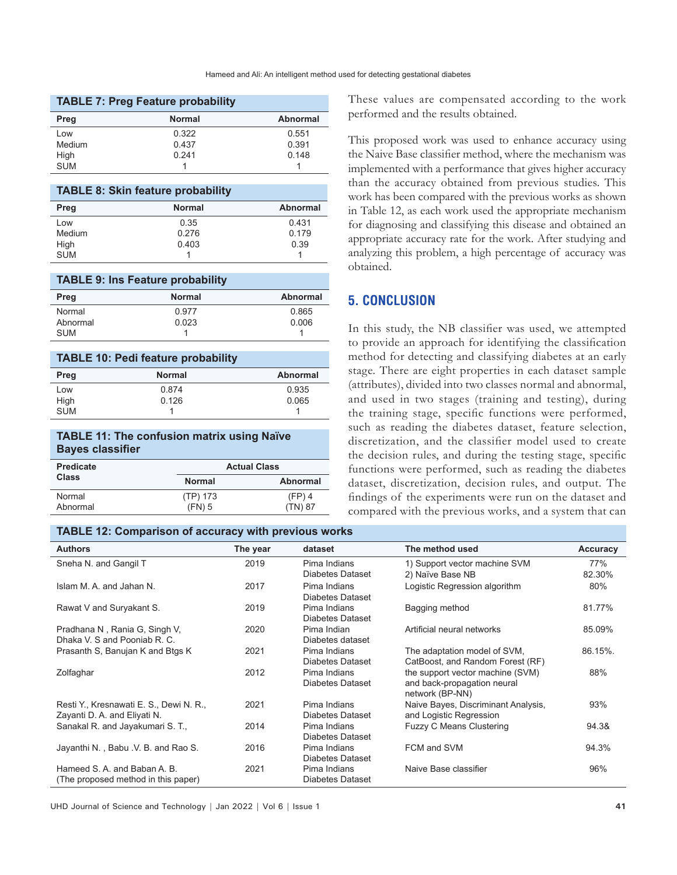| <b>TABLE 7: Preg Feature probability</b> |               |          |  |  |
|------------------------------------------|---------------|----------|--|--|
| Preg                                     | <b>Normal</b> | Abnormal |  |  |
| Low                                      | 0.322         | 0.551    |  |  |
| Medium                                   | 0.437         | 0.391    |  |  |
| High                                     | 0.241         | 0.148    |  |  |
| <b>SUM</b>                               |               |          |  |  |

| <b>TABLE 8: Skin feature probability</b> |               |                 |  |  |
|------------------------------------------|---------------|-----------------|--|--|
| Preg                                     | <b>Normal</b> | <b>Abnormal</b> |  |  |
| Low                                      | 0.35          | 0.431           |  |  |
| Medium                                   | 0.276         | 0.179           |  |  |
| High                                     | 0.403         | 0.39            |  |  |
| <b>SUM</b>                               |               |                 |  |  |

#### **TABLE 9: Ins Feature probability**

| Preg       | <b>Normal</b> | <b>Abnormal</b> |
|------------|---------------|-----------------|
| Normal     | 0.977         | 0.865           |
| Abnormal   | 0.023         | 0.006           |
| <b>SUM</b> |               |                 |

| <b>TABLE 10: Pedi feature probability</b> |               |                 |  |  |
|-------------------------------------------|---------------|-----------------|--|--|
| Preg                                      | <b>Normal</b> | <b>Abnormal</b> |  |  |
| Low                                       | 0.874         | 0.935           |  |  |
| High                                      | 0.126         | 0.065           |  |  |
| <b>SUM</b>                                |               |                 |  |  |

### **TABLE 11: The confusion matrix using Naïve Bayes classifier**

| <b>Predicate</b> | <b>Actual Class</b> |           |  |
|------------------|---------------------|-----------|--|
| <b>Class</b>     | <b>Normal</b>       | Abnormal  |  |
| Normal           | (TP) 173            | $(FP)$ 4  |  |
| Abnormal         | $(FN)$ 5            | $(TN)$ 87 |  |

#### **TABLE 12: Comparison of accuracy with previous works**

These values are compensated according to the work performed and the results obtained.

This proposed work was used to enhance accuracy using the Naive Base classifier method, where the mechanism was implemented with a performance that gives higher accuracy than the accuracy obtained from previous studies. This work has been compared with the previous works as shown in Table 12, as each work used the appropriate mechanism for diagnosing and classifying this disease and obtained an appropriate accuracy rate for the work. After studying and analyzing this problem, a high percentage of accuracy was obtained.

## **5. CONCLUSION**

In this study, the NB classifier was used, we attempted to provide an approach for identifying the classification method for detecting and classifying diabetes at an early stage. There are eight properties in each dataset sample (attributes), divided into two classes normal and abnormal, and used in two stages (training and testing), during the training stage, specific functions were performed, such as reading the diabetes dataset, feature selection, discretization, and the classifier model used to create the decision rules, and during the testing stage, specific functions were performed, such as reading the diabetes dataset, discretization, decision rules, and output. The findings of the experiments were run on the dataset and compared with the previous works, and a system that can

| <b>Authors</b>                          | The year | dataset                          | The method used                                   | Accuracy      |
|-----------------------------------------|----------|----------------------------------|---------------------------------------------------|---------------|
| Sneha N. and Gangil T                   | 2019     | Pima Indians<br>Diabetes Dataset | 1) Support vector machine SVM<br>2) Naïve Base NB | 77%<br>82.30% |
|                                         |          |                                  |                                                   |               |
| Islam M. A. and Jahan N.                | 2017     | Pima Indians                     | Logistic Regression algorithm                     | 80%           |
|                                         |          | Diabetes Dataset                 |                                                   |               |
| Rawat V and Suryakant S.                | 2019     | Pima Indians                     | Bagging method                                    | 81.77%        |
|                                         |          | Diabetes Dataset                 |                                                   |               |
| Pradhana N, Rania G, Singh V,           | 2020     | Pima Indian                      | Artificial neural networks                        | 85.09%        |
| Dhaka V. S and Pooniab R. C.            |          | Diabetes dataset                 |                                                   |               |
| Prasanth S, Banujan K and Btgs K        | 2021     | Pima Indians                     | The adaptation model of SVM,                      | 86.15%.       |
|                                         |          | Diabetes Dataset                 | CatBoost, and Random Forest (RF)                  |               |
| Zolfaghar                               | 2012     | Pima Indians                     | the support vector machine (SVM)                  | 88%           |
|                                         |          | Diabetes Dataset                 | and back-propagation neural                       |               |
|                                         |          |                                  | network (BP-NN)                                   |               |
| Resti Y., Kresnawati E. S., Dewi N. R., | 2021     | Pima Indians                     | Naive Bayes, Discriminant Analysis,               | 93%           |
| Zayanti D. A. and Eliyati N.            |          | Diabetes Dataset                 | and Logistic Regression                           |               |
| Sanakal R. and Jayakumari S. T.,        | 2014     | Pima Indians                     | <b>Fuzzy C Means Clustering</b>                   | 94.3&         |
|                                         |          | Diabetes Dataset                 |                                                   |               |
| Jayanthi N., Babu V. B. and Rao S.      | 2016     | Pima Indians                     | FCM and SVM                                       | 94.3%         |
|                                         |          | <b>Diabetes Dataset</b>          |                                                   |               |
| Hameed S. A. and Baban A. B.            | 2021     | Pima Indians                     | Naive Base classifier                             | 96%           |
| (The proposed method in this paper)     |          | Diabetes Dataset                 |                                                   |               |